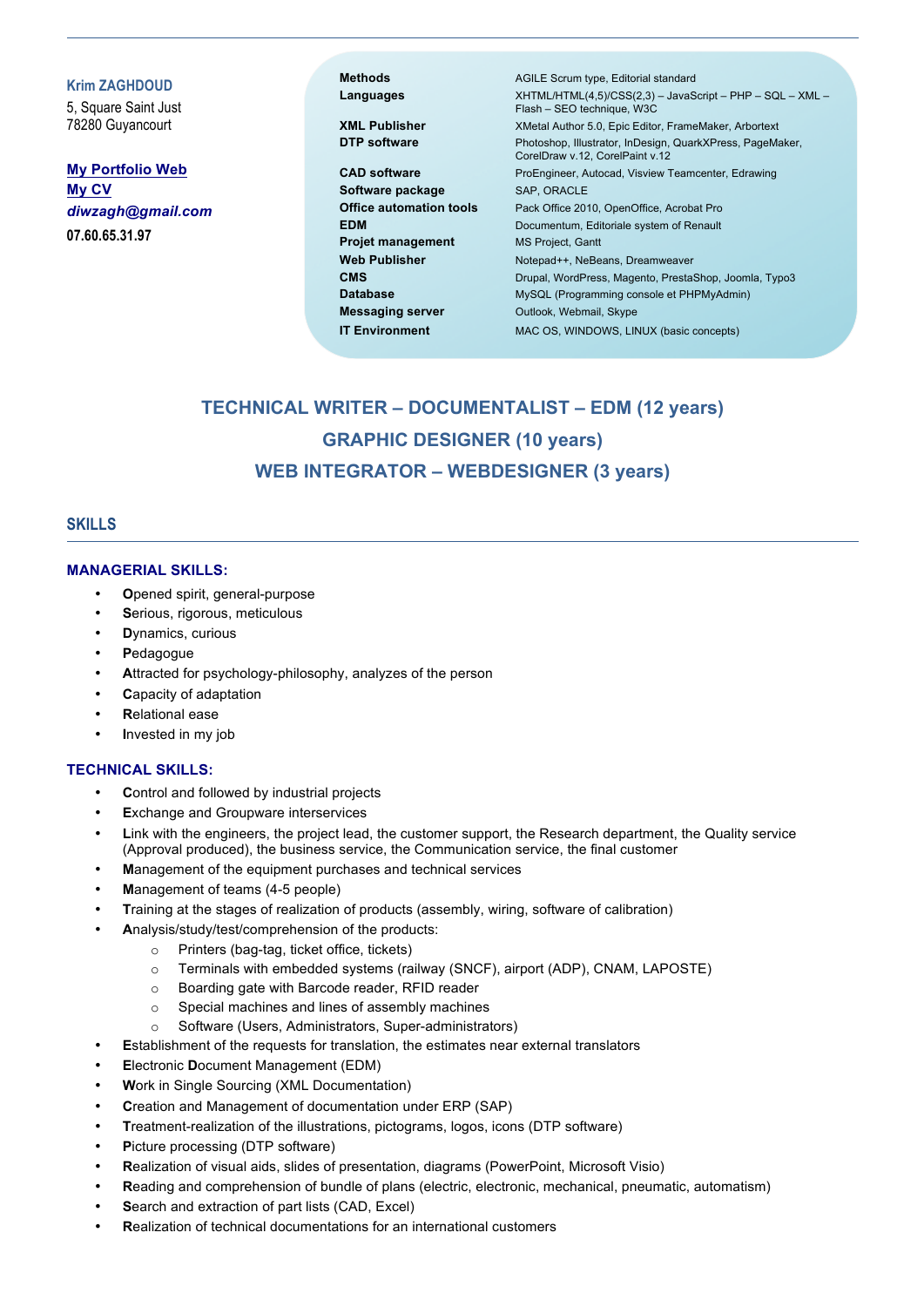**Krim ZAGHDOUD**

5, Square Saint Just 78280 Guyancourt

**My Portfolio Web My CV** *diwzagh@gmail.com* **07.60.65.31.97**

Software package SAP, ORACLE **Projet management** MS Project, Gantt **Messaging server Outlook, Webmail, Skype** 

**Methods** AGILE Scrum type, Editorial standard **Languages** XHTML/HTML(4,5)/CSS(2,3) – JavaScript – PHP – SQL – XML – Flash – SEO technique, W3C **XML Publisher** XMetal Author 5.0, Epic Editor, FrameMaker, Arbortext **DTP software** Photoshop, Illustrator, InDesign, QuarkXPress, PageMaker, CorelDraw v.12, CorelPaint v.12 **CAD software** ProEngineer, Autocad, Visview Teamcenter, Edrawing **Office automation tools** Pack Office 2010, OpenOffice, Acrobat Pro **EDM** Documentum, Editoriale system of Renault Web Publisher Notepad++, NeBeans, Dreamweaver **CMS** Drupal, WordPress, Magento, PrestaShop, Joomla, Typo3 Database MySQL (Programming console et PHPMyAdmin) **IT Environment** MAC OS, WINDOWS, LINUX (basic concepts)

# **TECHNICAL WRITER – DOCUMENTALIST – EDM (12 years) GRAPHIC DESIGNER (10 years) WEB INTEGRATOR – WEBDESIGNER (3 years)**

### **SKILLS**

#### **MANAGERIAL SKILLS:**

- **O**pened spirit, general-purpose
- Serious, rigorous, meticulous
- **D**ynamics, curious
- **P**edagogue
- **A**ttracted for psychology-philosophy, analyzes of the person
- **C**apacity of adaptation
- **R**elational ease
- **I**nvested in my job

#### **TECHNICAL SKILLS:**

- **C**ontrol and followed by industrial projects
- **Exchange and Groupware interservices**
- Link with the engineers, the project lead, the customer support, the Research department, the Quality service (Approval produced), the business service, the Communication service, the final customer
- **M**anagement of the equipment purchases and technical services
- **M**anagement of teams (4-5 people)
- **T**raining at the stages of realization of products (assembly, wiring, software of calibration)
- **A**nalysis/study/test/comprehension of the products:
	- o Printers (bag-tag, ticket office, tickets)
	- o Terminals with embedded systems (railway (SNCF), airport (ADP), CNAM, LAPOSTE)
	- o Boarding gate with Barcode reader, RFID reader
	- o Special machines and lines of assembly machines
	- o Software (Users, Administrators, Super-administrators)
- **E**stablishment of the requests for translation, the estimates near external translators
- **E**lectronic **D**ocument Management (EDM)
- **W**ork in Single Sourcing (XML Documentation)
- **C**reation and Management of documentation under ERP (SAP)
- **T**reatment-realization of the illustrations, pictograms, logos, icons (DTP software)
- Picture processing (DTP software)
- **R**ealization of visual aids, slides of presentation, diagrams (PowerPoint, Microsoft Visio)
- **R**eading and comprehension of bundle of plans (electric, electronic, mechanical, pneumatic, automatism)
- Search and extraction of part lists (CAD, Excel)
- **R**ealization of technical documentations for an international customers